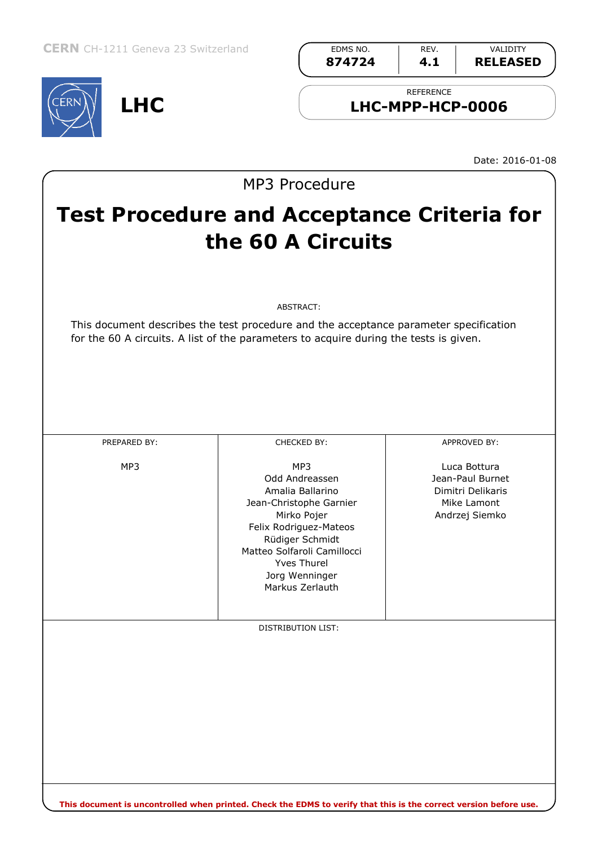**LHC**



Date: 2016-01-08

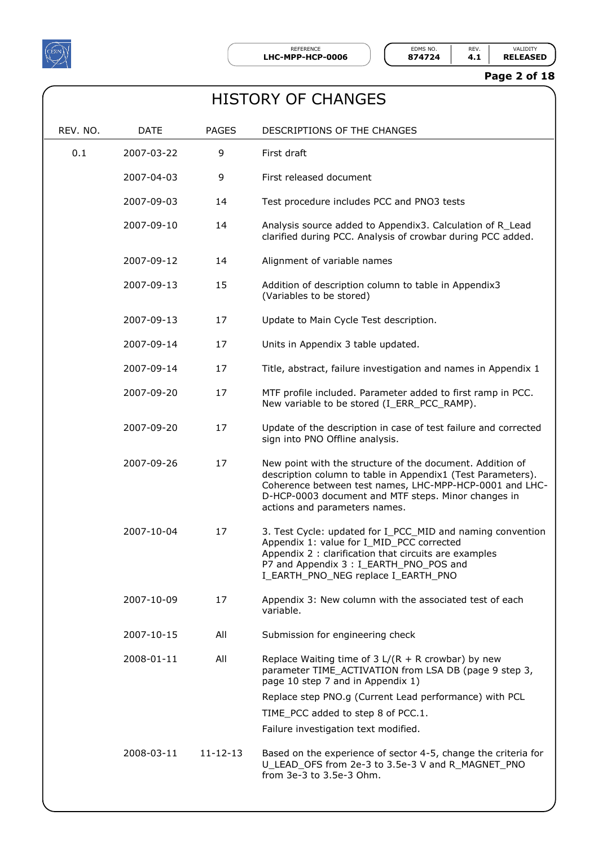

#### **Page 2 of 18**

| <b>HISTORY OF CHANGES</b> |
|---------------------------|
|---------------------------|

| REV. NO. | <b>DATE</b> | <b>PAGES</b>   | DESCRIPTIONS OF THE CHANGES                                                                                                                                                                                                                                                 |
|----------|-------------|----------------|-----------------------------------------------------------------------------------------------------------------------------------------------------------------------------------------------------------------------------------------------------------------------------|
| 0.1      | 2007-03-22  | 9              | First draft                                                                                                                                                                                                                                                                 |
|          | 2007-04-03  | 9              | First released document                                                                                                                                                                                                                                                     |
|          | 2007-09-03  | 14             | Test procedure includes PCC and PNO3 tests                                                                                                                                                                                                                                  |
|          | 2007-09-10  | 14             | Analysis source added to Appendix3. Calculation of R_Lead<br>clarified during PCC. Analysis of crowbar during PCC added.                                                                                                                                                    |
|          | 2007-09-12  | 14             | Alignment of variable names                                                                                                                                                                                                                                                 |
|          | 2007-09-13  | 15             | Addition of description column to table in Appendix3<br>(Variables to be stored)                                                                                                                                                                                            |
|          | 2007-09-13  | 17             | Update to Main Cycle Test description.                                                                                                                                                                                                                                      |
|          | 2007-09-14  | 17             | Units in Appendix 3 table updated.                                                                                                                                                                                                                                          |
|          | 2007-09-14  | 17             | Title, abstract, failure investigation and names in Appendix 1                                                                                                                                                                                                              |
|          | 2007-09-20  | 17             | MTF profile included. Parameter added to first ramp in PCC.<br>New variable to be stored (I_ERR_PCC_RAMP).                                                                                                                                                                  |
|          | 2007-09-20  | 17             | Update of the description in case of test failure and corrected<br>sign into PNO Offline analysis.                                                                                                                                                                          |
|          | 2007-09-26  | 17             | New point with the structure of the document. Addition of<br>description column to table in Appendix1 (Test Parameters).<br>Coherence between test names, LHC-MPP-HCP-0001 and LHC-<br>D-HCP-0003 document and MTF steps. Minor changes in<br>actions and parameters names. |
|          | 2007-10-04  | 17             | 3. Test Cycle: updated for I_PCC_MID and naming convention<br>Appendix 1: value for I_MID_PCC corrected<br>Appendix 2 : clarification that circuits are examples<br>P7 and Appendix 3 : I EARTH PNO POS and<br>I_EARTH_PNO_NEG replace I_EARTH_PNO                          |
|          | 2007-10-09  | 17             | Appendix 3: New column with the associated test of each<br>variable.                                                                                                                                                                                                        |
|          | 2007-10-15  | All            | Submission for engineering check                                                                                                                                                                                                                                            |
|          | 2008-01-11  | All            | Replace Waiting time of $3 L/(R + R$ crowbar) by new<br>parameter TIME_ACTIVATION from LSA DB (page 9 step 3,<br>page 10 step 7 and in Appendix 1)                                                                                                                          |
|          |             |                | Replace step PNO.g (Current Lead performance) with PCL<br>TIME_PCC added to step 8 of PCC.1.                                                                                                                                                                                |
|          |             |                | Failure investigation text modified.                                                                                                                                                                                                                                        |
|          | 2008-03-11  | $11 - 12 - 13$ | Based on the experience of sector 4-5, change the criteria for<br>U_LEAD_OFS from 2e-3 to 3.5e-3 V and R_MAGNET_PNO<br>from 3e-3 to 3.5e-3 Ohm.                                                                                                                             |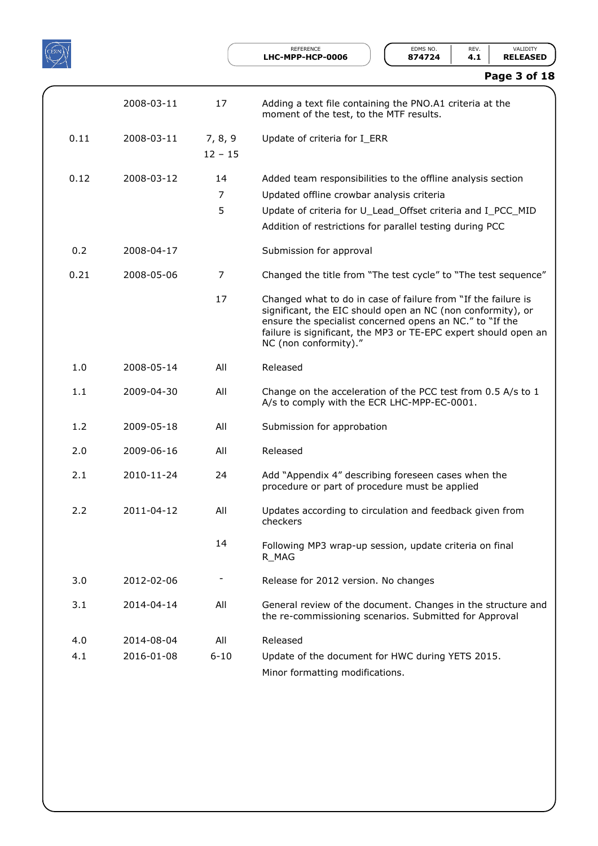

REFERENCE **EDMS NO.** REV. VALIDITY<br>**IPP-HCP-0006 874724 4.1 RELEASED** 

| Page 3 of 18 |  |  |  |
|--------------|--|--|--|
|--------------|--|--|--|

|      | 2008-03-11 | 17                   | Adding a text file containing the PNO.A1 criteria at the<br>moment of the test, to the MTF results.                                                                                                                                                                                  |
|------|------------|----------------------|--------------------------------------------------------------------------------------------------------------------------------------------------------------------------------------------------------------------------------------------------------------------------------------|
| 0.11 | 2008-03-11 | 7, 8, 9<br>$12 - 15$ | Update of criteria for I_ERR                                                                                                                                                                                                                                                         |
| 0.12 | 2008-03-12 | 14<br>7<br>5         | Added team responsibilities to the offline analysis section<br>Updated offline crowbar analysis criteria<br>Update of criteria for U Lead Offset criteria and I PCC MID<br>Addition of restrictions for parallel testing during PCC                                                  |
| 0.2  | 2008-04-17 |                      | Submission for approval                                                                                                                                                                                                                                                              |
| 0.21 | 2008-05-06 | 7                    | Changed the title from "The test cycle" to "The test sequence"                                                                                                                                                                                                                       |
|      |            | 17                   | Changed what to do in case of failure from "If the failure is<br>significant, the EIC should open an NC (non conformity), or<br>ensure the specialist concerned opens an NC." to "If the<br>failure is significant, the MP3 or TE-EPC expert should open an<br>NC (non conformity)." |
| 1.0  | 2008-05-14 | All                  | Released                                                                                                                                                                                                                                                                             |
| 1.1  | 2009-04-30 | All                  | Change on the acceleration of the PCC test from 0.5 A/s to 1<br>A/s to comply with the ECR LHC-MPP-EC-0001.                                                                                                                                                                          |
| 1.2  | 2009-05-18 | All                  | Submission for approbation                                                                                                                                                                                                                                                           |
| 2.0  | 2009-06-16 | All                  | Released                                                                                                                                                                                                                                                                             |
| 2.1  | 2010-11-24 | 24                   | Add "Appendix 4" describing foreseen cases when the<br>procedure or part of procedure must be applied                                                                                                                                                                                |
| 2.2  | 2011-04-12 | All                  | Updates according to circulation and feedback given from<br>checkers                                                                                                                                                                                                                 |
|      |            | 14                   | Following MP3 wrap-up session, update criteria on final<br>R_MAG                                                                                                                                                                                                                     |
| 3.0  | 2012-02-06 |                      | Release for 2012 version. No changes                                                                                                                                                                                                                                                 |
| 3.1  | 2014-04-14 | All                  | General review of the document. Changes in the structure and<br>the re-commissioning scenarios. Submitted for Approval                                                                                                                                                               |
| 4.0  | 2014-08-04 | All                  | Released                                                                                                                                                                                                                                                                             |
| 4.1  | 2016-01-08 | $6 - 10$             | Update of the document for HWC during YETS 2015.                                                                                                                                                                                                                                     |
|      |            |                      | Minor formatting modifications.                                                                                                                                                                                                                                                      |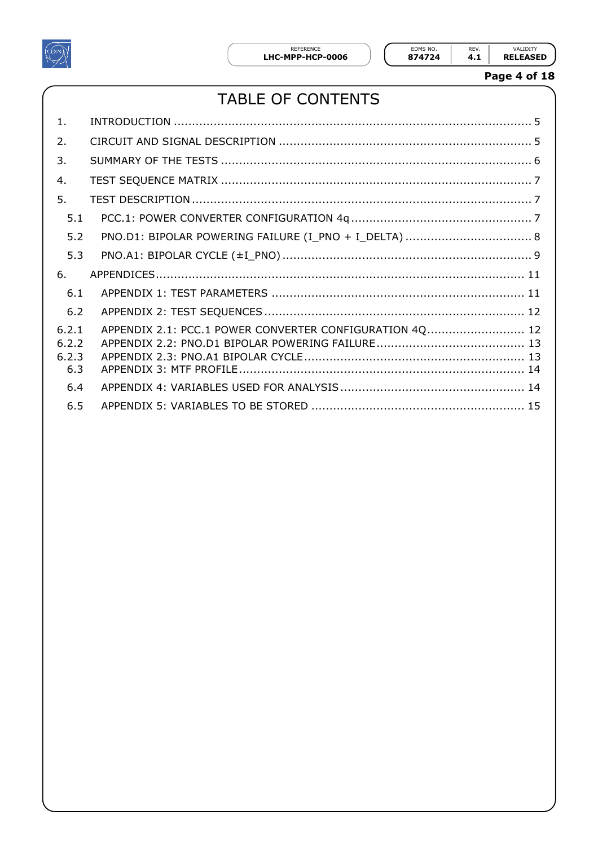

**Page 4 of 18**

# TABLE OF CONTENTS

| 1.                             |                                                         |  |
|--------------------------------|---------------------------------------------------------|--|
| 2.                             |                                                         |  |
| 3.                             |                                                         |  |
| 4.                             |                                                         |  |
| 5.                             |                                                         |  |
| 5.1                            |                                                         |  |
| 5.2                            |                                                         |  |
| 5.3                            |                                                         |  |
|                                |                                                         |  |
| 6.                             |                                                         |  |
| 6.1                            |                                                         |  |
| 6.2                            |                                                         |  |
| 6.2.1<br>6.2.2<br>6.2.3<br>6.3 | APPENDIX 2.1: PCC.1 POWER CONVERTER CONFIGURATION 4Q 12 |  |
| 6.4                            |                                                         |  |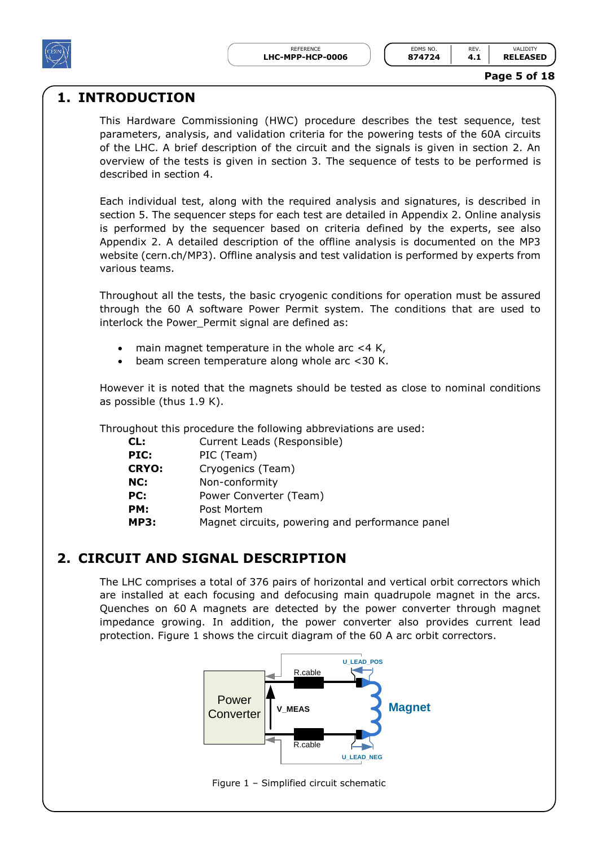

#### **Page 5 of 18**

### <span id="page-4-0"></span>**1. INTRODUCTION**

This Hardware Commissioning (HWC) procedure describes the test sequence, test parameters, analysis, and validation criteria for the powering tests of the 60A circuits of the LHC. A brief description of the circuit and the signals is given in section 2. An overview of the tests is given in section 3. The sequence of tests to be performed is described in section 4.

Each individual test, along with the required analysis and signatures, is described in section 5. The sequencer steps for each test are detailed in Appendix 2. Online analysis is performed by the sequencer based on criteria defined by the experts, see also Appendix 2. A detailed description of the offline analysis is documented on the MP3 website (cern.ch/MP3). Offline analysis and test validation is performed by experts from various teams.

Throughout all the tests, the basic cryogenic conditions for operation must be assured through the 60 A software Power Permit system. The conditions that are used to interlock the Power\_Permit signal are defined as:

- main magnet temperature in the whole arc <4 K,
- beam screen temperature along whole arc <30 K.

However it is noted that the magnets should be tested as close to nominal conditions as possible (thus 1.9 K).

Throughout this procedure the following abbreviations are used:

| CL:          | Current Leads (Responsible)                     |
|--------------|-------------------------------------------------|
| PIC:         | PIC (Team)                                      |
| <b>CRYO:</b> | Cryogenics (Team)                               |
| NC:          | Non-conformity                                  |
| PC:          | Power Converter (Team)                          |
| PM:          | Post Mortem                                     |
| <b>MP3:</b>  | Magnet circuits, powering and performance panel |

### <span id="page-4-1"></span>**2. CIRCUIT AND SIGNAL DESCRIPTION**

The LHC comprises a total of 376 pairs of horizontal and vertical orbit correctors which are installed at each focusing and defocusing main quadrupole magnet in the arcs. Quenches on 60 A magnets are detected by the power converter through magnet impedance growing. In addition, the power converter also provides current lead protection. [Figure 1](#page-4-2) shows the circuit diagram of the 60 A arc orbit correctors.



<span id="page-4-2"></span>Figure 1 – Simplified circuit schematic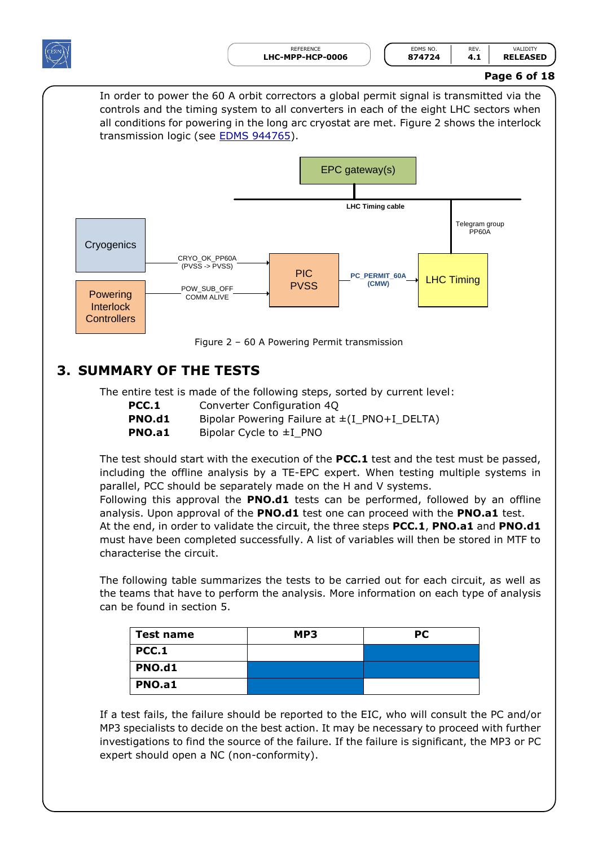

### **Page 6 of 18**

In order to power the 60 A orbit correctors a global permit signal is transmitted via the controls and the timing system to all converters in each of the eight LHC sectors when all conditions for powering in the long arc cryostat are met. [Figure 2](#page-5-1) shows the interlock transmission logic (see **EDMS 944765**).



## <span id="page-5-0"></span>**3. SUMMARY OF THE TESTS**

The entire test is made of the following steps, sorted by current level:

<span id="page-5-1"></span>

| PCC.1  | Converter Configuration 40                        |
|--------|---------------------------------------------------|
| PNO.d1 | Bipolar Powering Failure at $\pm (I_PNO+I_DELTA)$ |
| PNO.a1 | Bipolar Cycle to $\pm$ I PNO                      |

The test should start with the execution of the **PCC.1** test and the test must be passed, including the offline analysis by a TE-EPC expert. When testing multiple systems in parallel, PCC should be separately made on the H and V systems.

Following this approval the **PNO.d1** tests can be performed, followed by an offline analysis. Upon approval of the **PNO.d1** test one can proceed with the **PNO.a1** test. At the end, in order to validate the circuit, the three steps **PCC.1**, **PNO.a1** and **PNO.d1** must have been completed successfully. A list of variables will then be stored in MTF to characterise the circuit.

The following table summarizes the tests to be carried out for each circuit, as well as the teams that have to perform the analysis. More information on each type of analysis can be found in section 5.

| Test name    | MP3 | <b>PC</b> |
|--------------|-----|-----------|
| <b>PCC.1</b> |     |           |
| PNO.d1       |     |           |
| PNO.a1       |     |           |

If a test fails, the failure should be reported to the EIC, who will consult the PC and/or MP3 specialists to decide on the best action. It may be necessary to proceed with further investigations to find the source of the failure. If the failure is significant, the MP3 or PC expert should open a NC (non-conformity).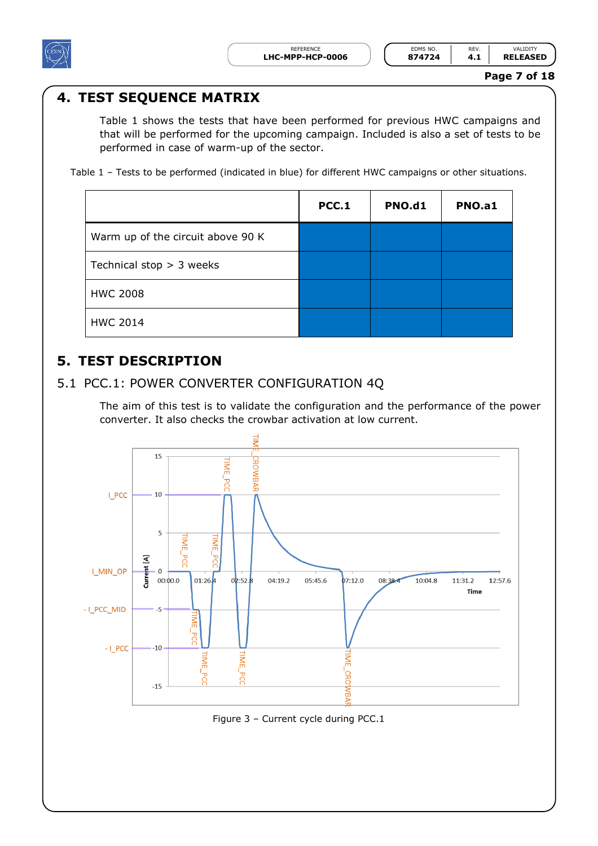

## <span id="page-6-0"></span>**4. TEST SEQUENCE MATRIX**

[Table 1](#page-6-3) shows the tests that have been performed for previous HWC campaigns and that will be performed for the upcoming campaign. Included is also a set of tests to be performed in case of warm-up of the sector.

<span id="page-6-3"></span>Table 1 – Tests to be performed (indicated in blue) for different HWC campaigns or other situations.

|                                   | <b>PCC.1</b> | <b>PNO.d1</b> | PNO.a1 |
|-----------------------------------|--------------|---------------|--------|
| Warm up of the circuit above 90 K |              |               |        |
| Technical stop $>$ 3 weeks        |              |               |        |
| <b>HWC 2008</b>                   |              |               |        |
| <b>HWC 2014</b>                   |              |               |        |

## <span id="page-6-1"></span>**5. TEST DESCRIPTION**

### <span id="page-6-2"></span>5.1 PCC.1: POWER CONVERTER CONFIGURATION 4Q

The aim of this test is to validate the configuration and the performance of the power converter. It also checks the crowbar activation at low current.



Figure 3 – Current cycle during PCC.1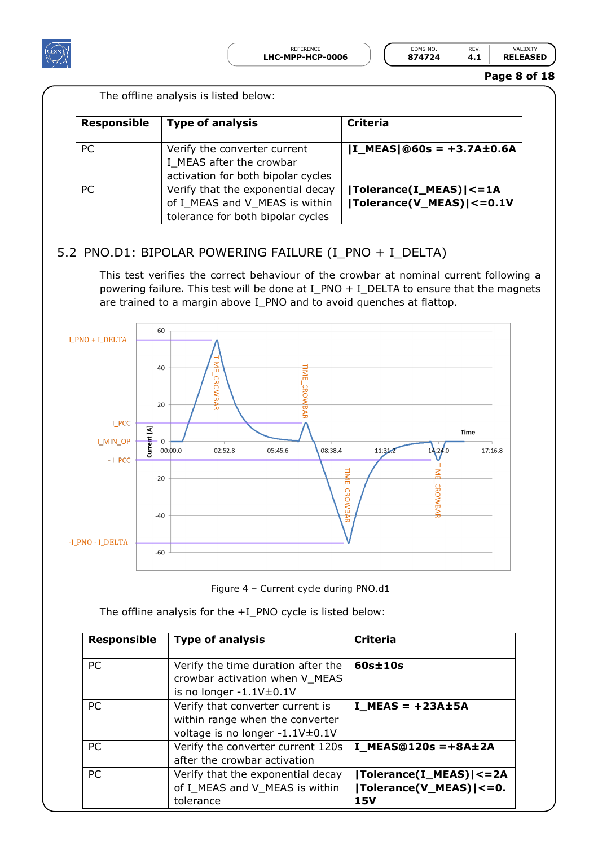

| REFERENCE          | EDMS NO. | <b>REV</b> | $\lambda$ l Inity |
|--------------------|----------|------------|-------------------|
| <b>PP-HCP-0006</b> | 874724   |            | <b>RELEASED</b>   |
|                    |          |            |                   |

**Page 8 of 18**

| The offline analysis is listed below: |  |  |  |  |
|---------------------------------------|--|--|--|--|
|---------------------------------------|--|--|--|--|

| <b>Responsible</b> | <b>Type of analysis</b>                                                                                  | <b>Criteria</b>                                         |
|--------------------|----------------------------------------------------------------------------------------------------------|---------------------------------------------------------|
| <b>PC</b>          | Verify the converter current<br>I MEAS after the crowbar<br>activation for both bipolar cycles           | $ I_MEAS @60s = +3.7A \pm 0.6A$                         |
| <b>PC</b>          | Verify that the exponential decay<br>of I_MEAS and V_MEAS is within<br>tolerance for both bipolar cycles | Tolerance(I_MEAS)  <= 1A<br> Tolerance(V_MEAS)  <= 0.1V |

### <span id="page-7-0"></span>5.2 PNO.D1: BIPOLAR POWERING FAILURE (I\_PNO + I\_DELTA)

This test verifies the correct behaviour of the crowbar at nominal current following a powering failure. This test will be done at I\_PNO + I\_DELTA to ensure that the magnets are trained to a margin above I\_PNO and to avoid quenches at flattop.



Figure 4 – Current cycle during PNO.d1

The offline analysis for the +I\_PNO cycle is listed below:

| <b>Responsible</b> | <b>Type of analysis</b>                                                                                | Criteria                                                          |
|--------------------|--------------------------------------------------------------------------------------------------------|-------------------------------------------------------------------|
| <b>PC</b>          | Verify the time duration after the<br>crowbar activation when V_MEAS<br>is no longer $-1.1V \pm 0.1V$  | $60s \pm 10s$                                                     |
| <b>PC</b>          | Verify that converter current is<br>within range when the converter<br>voltage is no longer -1.1V±0.1V | $I$ MEAS = $+23A \pm 5A$                                          |
| <b>PC</b>          | Verify the converter current 120s<br>after the crowbar activation                                      | $I_MEAS@120s = +8A±2A$                                            |
| <b>PC</b>          | Verify that the exponential decay<br>of I_MEAS and V_MEAS is within<br>tolerance                       | Tolerance(I_MEAS)  <= 2A<br> Tolerance(V_MEAS) <=0.<br><b>15V</b> |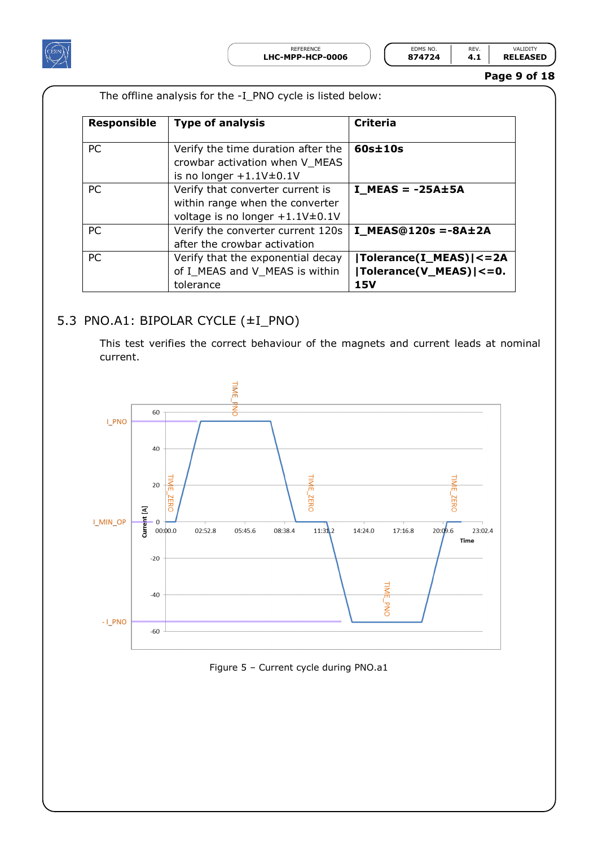

REFERENCE **LHC-MPP-HCP-0006 874724 4.1 RELEASED**

The offline analysis for the -I\_PNO cycle is listed below:

| EDMS NO. | FV |                      |
|----------|----|----------------------|
| 874724   |    | <b>RELEASE</b><br>ED |

**Page 9 of 18**

| <b>Responsible</b> | <b>Type of analysis</b>                                                                                    | Criteria                                                          |
|--------------------|------------------------------------------------------------------------------------------------------------|-------------------------------------------------------------------|
| <b>PC</b>          | Verify the time duration after the<br>crowbar activation when V MEAS<br>is no longer $+1.1V\pm0.1V$        | $60s \pm 10s$                                                     |
| <b>PC</b>          | Verify that converter current is<br>within range when the converter<br>voltage is no longer $+1.1V\pm0.1V$ | $I$ MEAS = -25A $\pm$ 5A                                          |
| <b>PC</b>          | Verify the converter current 120s<br>after the crowbar activation                                          | $I$ MEAS@120s =-8A±2A                                             |
| <b>PC</b>          | Verify that the exponential decay<br>of I_MEAS and V_MEAS is within<br>tolerance                           | Tolerance(I_MEAS)  <= 2A<br>$ Tolerance(V_MEAS)  \lt = 0.$<br>15V |

### <span id="page-8-0"></span>5.3 PNO.A1: BIPOLAR CYCLE (±I\_PNO)

This test verifies the correct behaviour of the magnets and current leads at nominal current.



#### Figure 5 – Current cycle during PNO.a1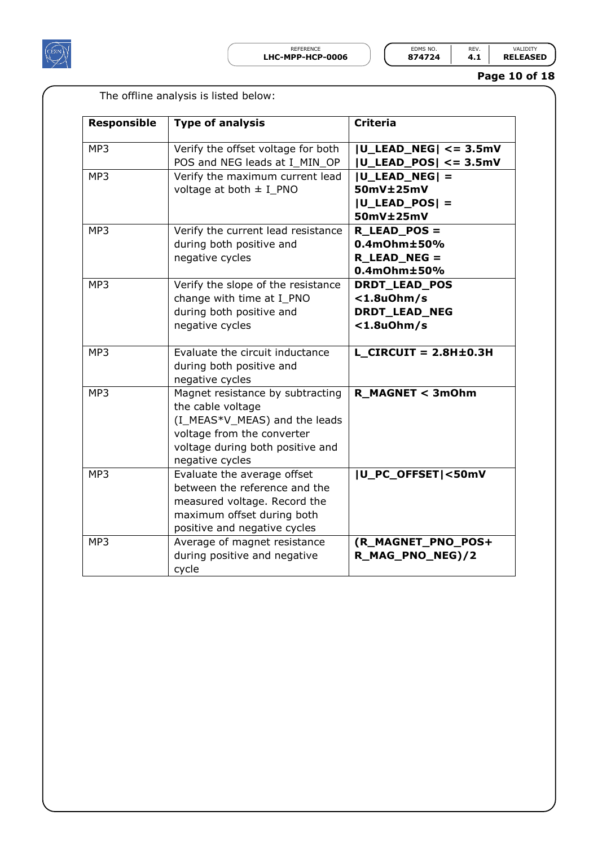

| LHC-MPP-HCP-0006 | 874724  |     | <b>RELEASED</b> |
|------------------|---------|-----|-----------------|
| RFFFRFNCF        | FDMS NO | RFV |                 |

**Page 10 of 18**

|                    | The offline analysis is listed below:                                                                                                                                       |                                                                        |
|--------------------|-----------------------------------------------------------------------------------------------------------------------------------------------------------------------------|------------------------------------------------------------------------|
| <b>Responsible</b> | <b>Type of analysis</b>                                                                                                                                                     | <b>Criteria</b>                                                        |
| MP3                | Verify the offset voltage for both<br>POS and NEG leads at I_MIN_OP                                                                                                         | $ U$ _LEAD_NEG $  \lt$ = 3.5mV<br>$ U$ _LEAD_POS $  \lt$ = 3.5mV       |
| MP3                | Verify the maximum current lead<br>voltage at both $\pm$ I_PNO                                                                                                              | $ U$ _LEAD_NEG $ $ =<br>50mV±25mV<br>$ U$ _LEAD_POS $ $ =<br>50mV±25mV |
| MP3                | Verify the current lead resistance<br>during both positive and<br>negative cycles                                                                                           | R LEAD POS =<br>$0.4$ m $Ohm±50%$<br>R_LEAD_NEG =<br>$0.4$ m $Ohm±50%$ |
| MP3                | Verify the slope of the resistance<br>change with time at I_PNO<br>during both positive and<br>negative cycles                                                              | DRDT_LEAD_POS<br>$<$ 1.8u0hm/s<br>DRDT_LEAD_NEG<br>$<$ 1.8u0hm/s       |
| MP3                | Evaluate the circuit inductance<br>during both positive and<br>negative cycles                                                                                              | $L$ CIRCUIT = 2.8H $\pm$ 0.3H                                          |
| MP3                | Magnet resistance by subtracting<br>the cable voltage<br>(I_MEAS*V_MEAS) and the leads<br>voltage from the converter<br>voltage during both positive and<br>negative cycles | R_MAGNET < 3mOhm                                                       |
| MP3                | Evaluate the average offset<br>between the reference and the<br>measured voltage. Record the<br>maximum offset during both<br>positive and negative cycles                  | U_PC_OFFSET <50mV                                                      |
| MP3                | Average of magnet resistance<br>during positive and negative<br>cycle                                                                                                       | (R_MAGNET_PNO_POS+<br>R_MAG_PNO_NEG)/2                                 |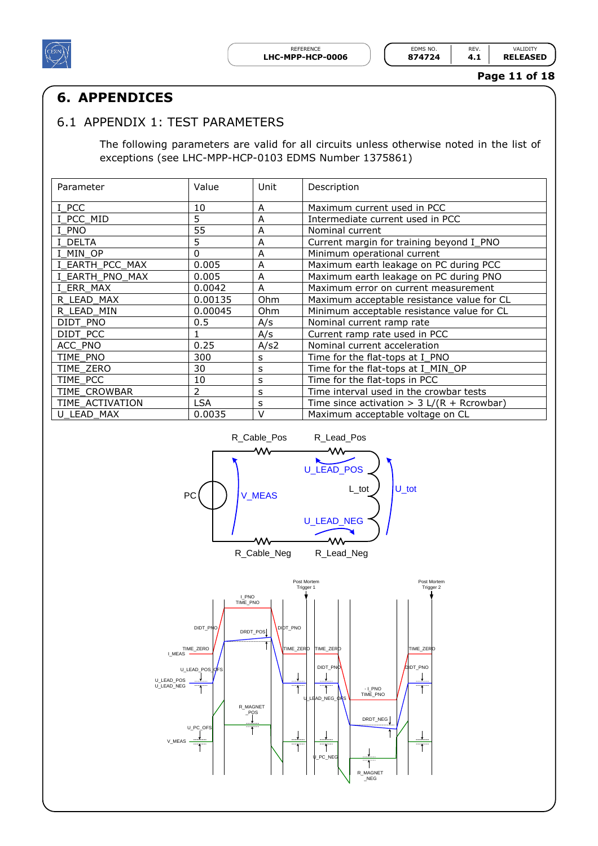

REFERENCE **EDMS NO.** REV. VALIDITY<br>**PP-HCP-0006 874724 4.1 RELEASED** 

#### **Page 11 of 18**

## <span id="page-10-0"></span>**6. APPENDICES**

### <span id="page-10-1"></span>6.1 APPENDIX 1: TEST PARAMETERS

The following parameters are valid for all circuits unless otherwise noted in the list of exceptions (see LHC-MPP-HCP-0103 EDMS Number 1375861)

| Parameter       | Value         | Unit       | Description                                   |
|-----------------|---------------|------------|-----------------------------------------------|
| I PCC           | 10            | A          | Maximum current used in PCC                   |
| I PCC MID       | 5             | A          | Intermediate current used in PCC              |
| I PNO           | 55            | A          | Nominal current                               |
| I DELTA         | 5             | A          | Current margin for training beyond I_PNO      |
| I MIN OP        | 0             | A          | Minimum operational current                   |
| I EARTH PCC MAX | 0.005         | A          | Maximum earth leakage on PC during PCC        |
| I EARTH PNO MAX | 0.005         | A          | Maximum earth leakage on PC during PNO        |
| I ERR MAX       | 0.0042        | A          | Maximum error on current measurement          |
| R LEAD MAX      | 0.00135       | <b>Ohm</b> | Maximum acceptable resistance value for CL    |
| R LEAD MIN      | 0.00045       | <b>Ohm</b> | Minimum acceptable resistance value for CL    |
| DIDT PNO        | 0.5           | A/s        | Nominal current ramp rate                     |
| DIDT PCC        |               | A/s        | Current ramp rate used in PCC                 |
| ACC PNO         | 0.25          | A/s2       | Nominal current acceleration                  |
| TIME PNO        | 300           | S          | Time for the flat-tops at I PNO               |
| TIME ZERO       | 30            | s          | Time for the flat-tops at I_MIN_OP            |
| TIME PCC        | 10            | s          | Time for the flat-tops in PCC                 |
| TIME CROWBAR    | $\mathcal{P}$ | s          | Time interval used in the crowbar tests       |
| TIME ACTIVATION | <b>LSA</b>    | s          | Time since activation > $3 L/(R + R$ crowbar) |
| U LEAD MAX      | 0.0035        | $\vee$     | Maximum acceptable voltage on CL              |



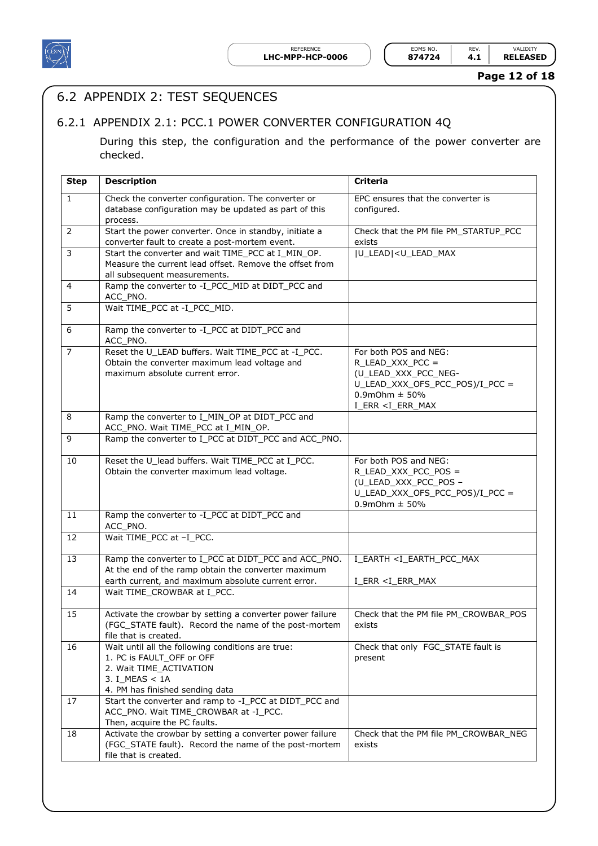

REFERENCE **EDMS NO.** REV. VALIDITY<br>**IPP-HCP-0006 874724 4.1 RELEASED** 

**Page 12 of 18**

## <span id="page-11-0"></span>6.2 APPENDIX 2: TEST SEQUENCES

### <span id="page-11-1"></span>6.2.1 APPENDIX 2.1: PCC.1 POWER CONVERTER CONFIGURATION 4Q

During this step, the configuration and the performance of the power converter are checked.

| <b>Step</b>  | <b>Description</b>                                                                        | <b>Criteria</b>                                     |
|--------------|-------------------------------------------------------------------------------------------|-----------------------------------------------------|
| $\mathbf{1}$ | Check the converter configuration. The converter or                                       | EPC ensures that the converter is                   |
|              | database configuration may be updated as part of this                                     | configured.                                         |
|              | process.                                                                                  |                                                     |
| 2            | Start the power converter. Once in standby, initiate a                                    | Check that the PM file PM_STARTUP_PCC               |
|              | converter fault to create a post-mortem event.                                            | exists                                              |
| 3            | Start the converter and wait TIME PCC at I MIN OP.                                        | U_LEAD  <u_lead_max< td=""></u_lead_max<>           |
|              | Measure the current lead offset. Remove the offset from                                   |                                                     |
|              | all subsequent measurements.                                                              |                                                     |
| 4            | Ramp the converter to -I_PCC_MID at DIDT_PCC and<br>ACC_PNO.                              |                                                     |
| 5            | Wait TIME PCC at -I PCC MID.                                                              |                                                     |
| 6            | Ramp the converter to -I_PCC at DIDT_PCC and<br>ACC_PNO.                                  |                                                     |
| 7            | Reset the U_LEAD buffers. Wait TIME_PCC at -I_PCC.                                        | For both POS and NEG:                               |
|              | Obtain the converter maximum lead voltage and                                             | R_LEAD_XXX_PCC =                                    |
|              | maximum absolute current error.                                                           | (U LEAD XXX PCC NEG-                                |
|              |                                                                                           | U_LEAD_XXX_OFS_PCC_POS)/I_PCC =                     |
|              |                                                                                           | $0.9$ mOhm $\pm$ 50%                                |
| 8            |                                                                                           | I ERR <i err="" max<="" td=""></i>                  |
|              | Ramp the converter to I_MIN_OP at DIDT_PCC and<br>ACC_PNO. Wait TIME_PCC at I_MIN_OP.     |                                                     |
| 9            | Ramp the converter to I PCC at DIDT PCC and ACC PNO.                                      |                                                     |
|              |                                                                                           |                                                     |
| 10           | Reset the U_lead buffers. Wait TIME_PCC at I_PCC.                                         | For both POS and NEG:                               |
|              | Obtain the converter maximum lead voltage.                                                | R_LEAD_XXX_PCC_POS =                                |
|              |                                                                                           | (U_LEAD_XXX_PCC_POS -                               |
|              |                                                                                           | U_LEAD_XXX_OFS_PCC_POS)/I_PCC =                     |
|              |                                                                                           | $0.9$ mOhm $\pm 50%$                                |
| 11           | Ramp the converter to -I_PCC at DIDT_PCC and<br>ACC_PNO.                                  |                                                     |
| 12           | Wait TIME_PCC at -I_PCC.                                                                  |                                                     |
| 13           | Ramp the converter to I_PCC at DIDT_PCC and ACC_PNO.                                      | I_EARTH <i_earth_pcc_max< td=""></i_earth_pcc_max<> |
|              | At the end of the ramp obtain the converter maximum                                       |                                                     |
|              | earth current, and maximum absolute current error.                                        | I_ERR <i_err_max< td=""></i_err_max<>               |
| 14           | Wait TIME_CROWBAR at I_PCC.                                                               |                                                     |
| 15           | Activate the crowbar by setting a converter power failure                                 | Check that the PM file PM CROWBAR POS               |
|              | (FGC_STATE fault). Record the name of the post-mortem                                     | exists                                              |
|              | file that is created.                                                                     |                                                     |
| 16           | Wait until all the following conditions are true:                                         | Check that only FGC_STATE fault is                  |
|              | 1. PC is FAULT_OFF or OFF                                                                 | present                                             |
|              | 2. Wait TIME_ACTIVATION                                                                   |                                                     |
|              | 3. I MEAS < 1A                                                                            |                                                     |
| 17           | 4. PM has finished sending data<br>Start the converter and ramp to -I_PCC at DIDT_PCC and |                                                     |
|              | ACC_PNO. Wait TIME_CROWBAR at -I_PCC.                                                     |                                                     |
|              | Then, acquire the PC faults.                                                              |                                                     |
| 18           | Activate the crowbar by setting a converter power failure                                 | Check that the PM file PM_CROWBAR_NEG               |
|              | (FGC_STATE fault). Record the name of the post-mortem                                     | exists                                              |
|              | file that is created.                                                                     |                                                     |
|              |                                                                                           |                                                     |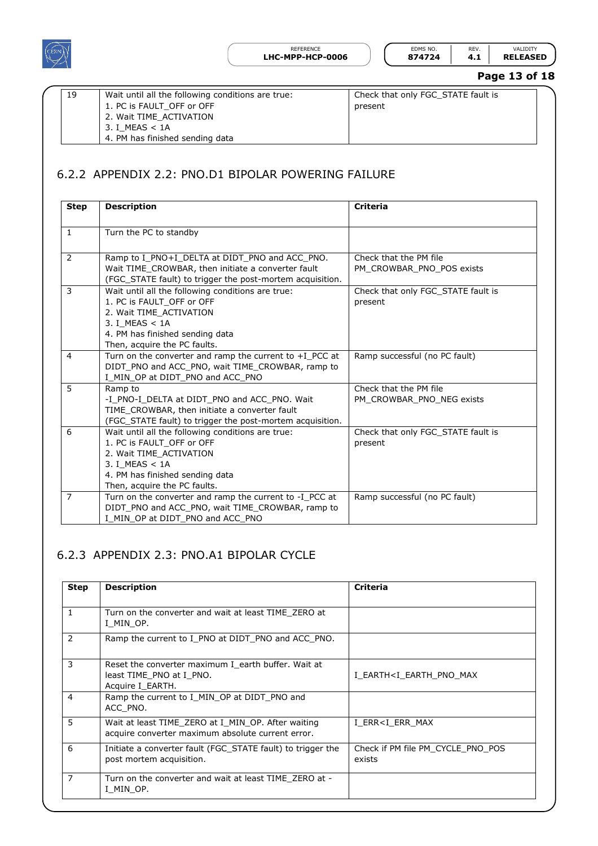

| <b>IPP-HCP-0006</b> | 874724   | 4    | <b>RELEASED</b> |
|---------------------|----------|------|-----------------|
| REFERENCE           | FDMS NO. | REV. |                 |

## **Page 13 of 18**

| 19 | Wait until all the following conditions are true:<br>1. PC is FAULT OFF or OFF<br>2. Wait TIME ACTIVATION<br>3. I MEAS < 1A | Check that only FGC STATE fault is<br>present |
|----|-----------------------------------------------------------------------------------------------------------------------------|-----------------------------------------------|
|    | 4. PM has finished sending data                                                                                             |                                               |

## <span id="page-12-0"></span>6.2.2 APPENDIX 2.2: PNO.D1 BIPOLAR POWERING FAILURE

| <b>Step</b>    | <b>Description</b>                                                                                                                                                                             | <b>Criteria</b>                                     |
|----------------|------------------------------------------------------------------------------------------------------------------------------------------------------------------------------------------------|-----------------------------------------------------|
| $\mathbf{1}$   | Turn the PC to standby                                                                                                                                                                         |                                                     |
| 2              | Ramp to I PNO+I DELTA at DIDT PNO and ACC PNO.<br>Wait TIME CROWBAR, then initiate a converter fault<br>(FGC_STATE fault) to trigger the post-mortem acquisition.                              | Check that the PM file<br>PM CROWBAR PNO POS exists |
| 3              | Wait until all the following conditions are true:<br>1. PC is FAULT OFF or OFF<br>2. Wait TIME ACTIVATION<br>3. I MEAS < 1A<br>4. PM has finished sending data<br>Then, acquire the PC faults. | Check that only FGC STATE fault is<br>present       |
| 4              | Turn on the converter and ramp the current to $+I$ PCC at<br>DIDT PNO and ACC PNO, wait TIME CROWBAR, ramp to<br>I MIN OP at DIDT PNO and ACC PNO                                              | Ramp successful (no PC fault)                       |
| 5              | Ramp to<br>-I_PNO-I_DELTA at DIDT_PNO and ACC_PNO. Wait<br>TIME_CROWBAR, then initiate a converter fault<br>(FGC_STATE fault) to trigger the post-mortem acquisition.                          | Check that the PM file<br>PM CROWBAR PNO NEG exists |
| 6              | Wait until all the following conditions are true:<br>1. PC is FAULT OFF or OFF<br>2. Wait TIME ACTIVATION<br>3. I MEAS < 1A<br>4. PM has finished sending data<br>Then, acquire the PC faults. | Check that only FGC STATE fault is<br>present       |
| $\overline{7}$ | Turn on the converter and ramp the current to -I_PCC at<br>DIDT_PNO and ACC_PNO, wait TIME_CROWBAR, ramp to<br>I MIN OP at DIDT PNO and ACC PNO                                                | Ramp successful (no PC fault)                       |

### <span id="page-12-1"></span>6.2.3 APPENDIX 2.3: PNO.A1 BIPOLAR CYCLE

| <b>Step</b>    | <b>Description</b>                                                                                      | <b>Criteria</b>                               |
|----------------|---------------------------------------------------------------------------------------------------------|-----------------------------------------------|
| $\mathbf{1}$   | Turn on the converter and wait at least TIME ZERO at<br>I MIN OP.                                       |                                               |
| 2              | Ramp the current to I_PNO at DIDT_PNO and ACC_PNO.                                                      |                                               |
| 3              | Reset the converter maximum I earth buffer. Wait at<br>least TIME PNO at I PNO.<br>Acquire I EARTH.     | I EARTH <i earth="" max<="" pno="" td=""></i> |
| 4              | Ramp the current to I MIN OP at DIDT PNO and<br>ACC PNO.                                                |                                               |
| 5              | Wait at least TIME ZERO at I MIN OP. After waiting<br>acquire converter maximum absolute current error. | I ERR <i err="" max<="" td=""></i>            |
| 6              | Initiate a converter fault (FGC STATE fault) to trigger the<br>post mortem acquisition.                 | Check if PM file PM CYCLE PNO POS<br>exists   |
| $\overline{7}$ | Turn on the converter and wait at least TIME ZERO at -<br>I MIN OP.                                     |                                               |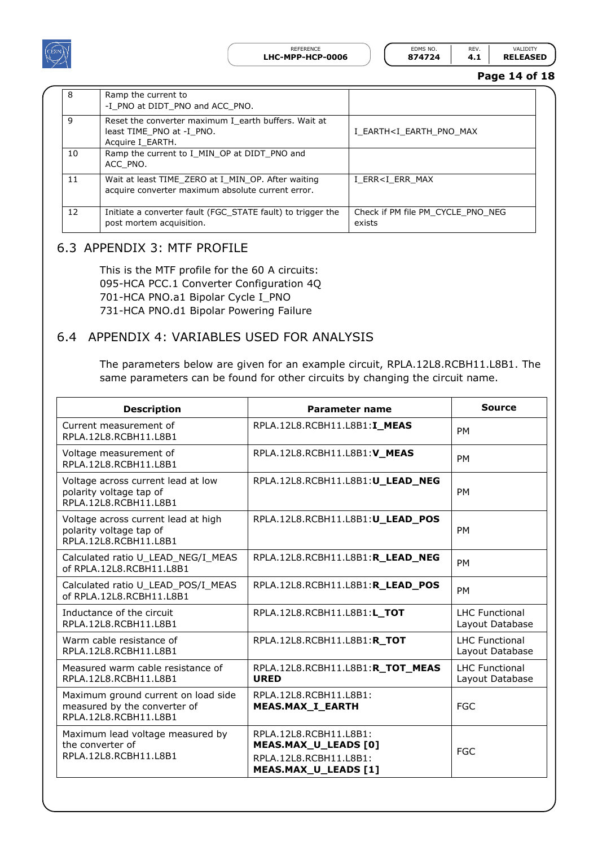

| <b>PP-HCP-0006</b> | 874724   | 4. . | <b>RELEAS</b> |
|--------------------|----------|------|---------------|
| REFERENCE          | FDMS NO. |      |               |

#### **Page 14 of 18**

| 8  | Ramp the current to<br>-I PNO at DIDT PNO and ACC PNO.                                                  |                                               |
|----|---------------------------------------------------------------------------------------------------------|-----------------------------------------------|
| 9  | Reset the converter maximum I earth buffers. Wait at<br>least TIME PNO at -I PNO.<br>Acquire I EARTH.   | I EARTH <i earth="" max<="" pno="" td=""></i> |
| 10 | Ramp the current to I_MIN_OP at DIDT_PNO and<br>ACC PNO.                                                |                                               |
| 11 | Wait at least TIME ZERO at I MIN OP. After waiting<br>acquire converter maximum absolute current error. | I ERR <i err="" max<="" td=""></i>            |
| 12 | Initiate a converter fault (FGC STATE fault) to trigger the<br>post mortem acquisition.                 | Check if PM file PM CYCLE PNO NEG<br>exists   |

### <span id="page-13-0"></span>6.3 APPENDIX 3: MTF PROFILE

This is the MTF profile for the 60 A circuits: 095-HCA PCC.1 Converter Configuration 4Q 701-HCA PNO.a1 Bipolar Cycle I\_PNO 731-HCA PNO.d1 Bipolar Powering Failure

#### <span id="page-13-1"></span>6.4 APPENDIX 4: VARIABLES USED FOR ANALYSIS

The parameters below are given for an example circuit, RPLA.12L8.RCBH11.L8B1. The same parameters can be found for other circuits by changing the circuit name.

| <b>Description</b>                                                                           | Parameter name                                                                                   | <b>Source</b>                            |
|----------------------------------------------------------------------------------------------|--------------------------------------------------------------------------------------------------|------------------------------------------|
| Current measurement of<br>RPLA.12L8.RCBH11.L8B1                                              | RPLA.12L8.RCBH11.L8B1:I MEAS                                                                     | <b>PM</b>                                |
| Voltage measurement of<br>RPI A.121 8.RCBH11.I 8B1                                           | RPLA.12L8.RCBH11.L8B1:V_MEAS                                                                     | <b>PM</b>                                |
| Voltage across current lead at low<br>polarity voltage tap of<br>RPLA.12L8.RCBH11.L8B1       | RPLA.12L8.RCBH11.L8B1:U_LEAD_NEG                                                                 | <b>PM</b>                                |
| Voltage across current lead at high<br>polarity voltage tap of<br>RPLA.12L8.RCBH11.L8B1      | RPLA.12L8.RCBH11.L8B1:U LEAD POS                                                                 | <b>PM</b>                                |
| Calculated ratio U LEAD NEG/I MEAS<br>of RPLA.12L8.RCBH11.L8B1                               | RPLA.12L8.RCBH11.L8B1:R_LEAD_NEG                                                                 | <b>PM</b>                                |
| Calculated ratio U_LEAD_POS/I_MEAS<br>of RPLA.12L8.RCBH11.L8B1                               | RPLA.12L8.RCBH11.L8B1:R_LEAD_POS                                                                 | <b>PM</b>                                |
| Inductance of the circuit<br>RPLA.12L8.RCBH11.L8B1                                           | RPLA.12L8.RCBH11.L8B1:L_TOT                                                                      | <b>LHC Functional</b><br>Layout Database |
| Warm cable resistance of<br>RPLA.12L8.RCBH11.L8B1                                            | RPLA.12L8.RCBH11.L8B1:R_TOT                                                                      | <b>LHC Functional</b><br>Layout Database |
| Measured warm cable resistance of<br>RPLA.12L8.RCBH11.L8B1                                   | RPLA.12L8.RCBH11.L8B1:R_TOT_MEAS<br><b>URED</b>                                                  | <b>LHC Functional</b><br>Layout Database |
| Maximum ground current on load side<br>measured by the converter of<br>RPLA.12L8.RCBH11.L8B1 | RPLA.12L8.RCBH11.L8B1:<br><b>MEAS.MAX_I_EARTH</b>                                                | <b>FGC</b>                               |
| Maximum lead voltage measured by<br>the converter of<br>RPLA.12L8.RCBH11.L8B1                | RPLA.12L8.RCBH11.L8B1:<br>MEAS.MAX_U_LEADS [0]<br>RPLA.12L8.RCBH11.L8B1:<br>MEAS.MAX_U_LEADS [1] |                                          |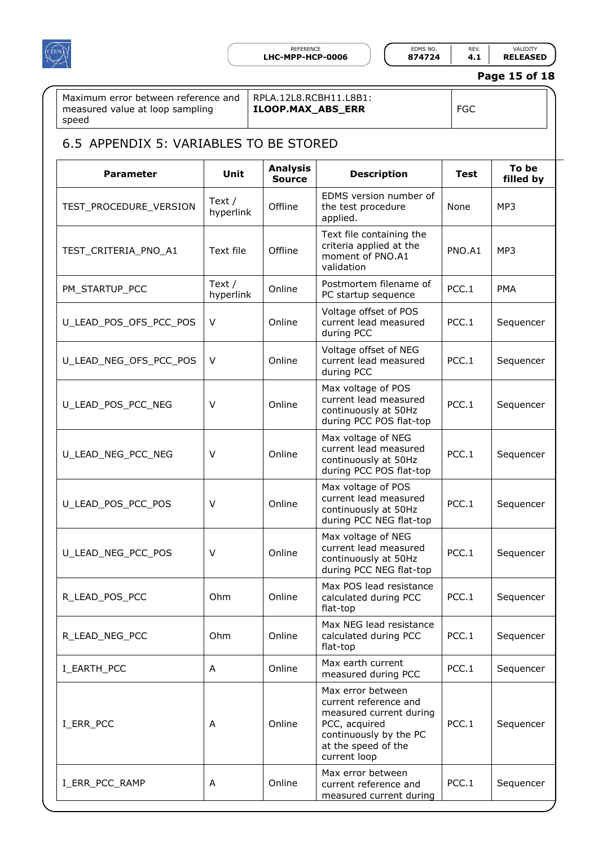

REFERENCE **EDMS NO.** REV. VALIDITY<br>**IPP-HCP-0006 874724 4.1 RELEASED** 

#### **Page 15 of 18**

**filled by**

Maximum error between reference and measured value at loop sampling speed

#### RPLA.12L8.RCBH11.L8B1: **ILOOP.MAX\_ABS\_ERR** FGC

#### <span id="page-14-0"></span>6.5 APPENDIX 5: VARIABLES TO BE STORED **Parameter Unit Analysis Source Description Test To be**  TEST\_PROCEDURE\_VERSION Text / hyperlink Offline EDMS version number of the test procedure applied. TEST\_CRITERIA\_PNO\_A1 Text file Offline Text file containing the criteria applied at the moment of PNO.A1 validation

| TEST_PROCEDURE_VERSION | Text /<br>hyperlink   | Offline | EDMS version number of<br>the test procedure<br>applied.                                                                                                | None   | MP3        |
|------------------------|-----------------------|---------|---------------------------------------------------------------------------------------------------------------------------------------------------------|--------|------------|
| TEST_CRITERIA_PNO_A1   | Text file             | Offline | Text file containing the<br>criteria applied at the<br>moment of PNO.A1<br>validation                                                                   | PNO.A1 | MP3        |
| PM_STARTUP_PCC         | Text $/$<br>hyperlink | Online  | Postmortem filename of<br>PC startup sequence                                                                                                           | PCC.1  | <b>PMA</b> |
| U_LEAD_POS_OFS_PCC_POS | $\vee$                | Online  | Voltage offset of POS<br>current lead measured<br>during PCC                                                                                            | PCC.1  | Sequencer  |
| U_LEAD_NEG_OFS_PCC_POS | V                     | Online  | Voltage offset of NEG<br>current lead measured<br>during PCC                                                                                            | PCC.1  | Sequencer  |
| U LEAD POS PCC NEG     | $\vee$                | Online  | Max voltage of POS<br>current lead measured<br>continuously at 50Hz<br>during PCC POS flat-top                                                          | PCC.1  | Sequencer  |
| U_LEAD_NEG_PCC_NEG     | $\vee$                | Online  | Max voltage of NEG<br>current lead measured<br>continuously at 50Hz<br>during PCC POS flat-top                                                          | PCC.1  | Sequencer  |
| U_LEAD_POS_PCC_POS     | V                     | Online  | Max voltage of POS<br>current lead measured<br>continuously at 50Hz<br>during PCC NEG flat-top                                                          | PCC.1  | Sequencer  |
| U_LEAD_NEG_PCC_POS     | V                     | Online  | Max voltage of NEG<br>current lead measured<br>continuously at 50Hz<br>during PCC NEG flat-top                                                          | PCC.1  | Sequencer  |
| R_LEAD_POS_PCC         | Ohm                   | Online  | Max POS lead resistance<br>calculated during PCC<br>flat-top                                                                                            | PCC.1  | Sequencer  |
| R_LEAD_NEG_PCC         | Ohm                   | Online  | Max NEG lead resistance<br>calculated during PCC<br>flat-top                                                                                            | PCC.1  | Sequencer  |
| I_EARTH_PCC            | A                     | Online  | Max earth current<br>measured during PCC                                                                                                                | PCC.1  | Sequencer  |
| I_ERR_PCC              | A                     | Online  | Max error between<br>current reference and<br>measured current during<br>PCC, acquired<br>continuously by the PC<br>at the speed of the<br>current loop | PCC.1  | Sequencer  |
| I_ERR_PCC_RAMP         | Α                     | Online  | Max error between<br>current reference and<br>measured current during                                                                                   | PCC.1  | Sequencer  |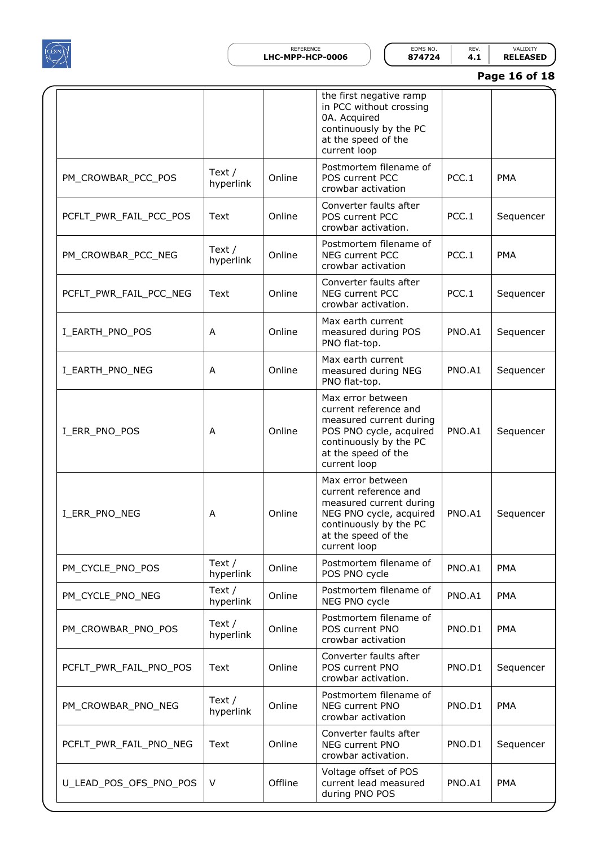

REFERENCE EDMS NO. REV. VALIDITY **LHC-MPP-HCP-0006 874724 4.1 RELEASED**

**Page 16 of 18**

|                        |                       |         | the first negative ramp<br>in PCC without crossing<br>0A. Acquired<br>continuously by the PC<br>at the speed of the<br>current loop                               |        |            |
|------------------------|-----------------------|---------|-------------------------------------------------------------------------------------------------------------------------------------------------------------------|--------|------------|
| PM_CROWBAR_PCC_POS     | Text /<br>hyperlink   | Online  | Postmortem filename of<br>POS current PCC<br>crowbar activation                                                                                                   | PCC.1  | <b>PMA</b> |
| PCFLT PWR FAIL PCC POS | Text                  | Online  | Converter faults after<br>POS current PCC<br>crowbar activation.                                                                                                  | PCC.1  | Sequencer  |
| PM_CROWBAR_PCC_NEG     | Text $/$<br>hyperlink | Online  | Postmortem filename of<br><b>NEG current PCC</b><br>crowbar activation                                                                                            | PCC.1  | <b>PMA</b> |
| PCFLT PWR FAIL PCC NEG | Text                  | Online  | Converter faults after<br>NEG current PCC<br>crowbar activation.                                                                                                  | PCC.1  | Sequencer  |
| I_EARTH_PNO_POS        | Α                     | Online  | Max earth current<br>measured during POS<br>PNO flat-top.                                                                                                         | PNO.A1 | Sequencer  |
| I_EARTH_PNO_NEG        | Α                     | Online  | Max earth current<br>measured during NEG<br>PNO flat-top.                                                                                                         | PNO.A1 | Sequencer  |
| I_ERR_PNO_POS          | Α                     | Online  | Max error between<br>current reference and<br>measured current during<br>POS PNO cycle, acquired<br>continuously by the PC<br>at the speed of the<br>current loop | PNO.A1 | Sequencer  |
| I_ERR_PNO_NEG          | A                     | Online  | Max error between<br>current reference and<br>measured current during<br>NEG PNO cycle, acquired<br>continuously by the PC<br>at the speed of the<br>current loop | PNO.A1 | Sequencer  |
| PM_CYCLE_PNO_POS       | Text /<br>hyperlink   | Online  | Postmortem filename of<br>POS PNO cycle                                                                                                                           | PNO.A1 | <b>PMA</b> |
| PM_CYCLE_PNO_NEG       | Text $/$<br>hyperlink | Online  | Postmortem filename of<br>NEG PNO cycle                                                                                                                           | PNO.A1 | <b>PMA</b> |
| PM CROWBAR PNO POS     | Text /<br>hyperlink   | Online  | Postmortem filename of<br>POS current PNO<br>crowbar activation                                                                                                   | PNO.D1 | <b>PMA</b> |
| PCFLT PWR FAIL PNO POS | Text                  | Online  | Converter faults after<br>POS current PNO<br>crowbar activation.                                                                                                  | PNO.D1 | Sequencer  |
| PM_CROWBAR_PNO_NEG     | Text $/$<br>hyperlink | Online  | Postmortem filename of<br>NEG current PNO<br>crowbar activation                                                                                                   | PNO.D1 | <b>PMA</b> |
| PCFLT_PWR_FAIL_PNO_NEG | Text                  | Online  | Converter faults after<br>NEG current PNO<br>crowbar activation.                                                                                                  | PNO.D1 | Sequencer  |
| U_LEAD_POS_OFS_PNO_POS | V                     | Offline | Voltage offset of POS<br>current lead measured<br>during PNO POS                                                                                                  | PNO.A1 | <b>PMA</b> |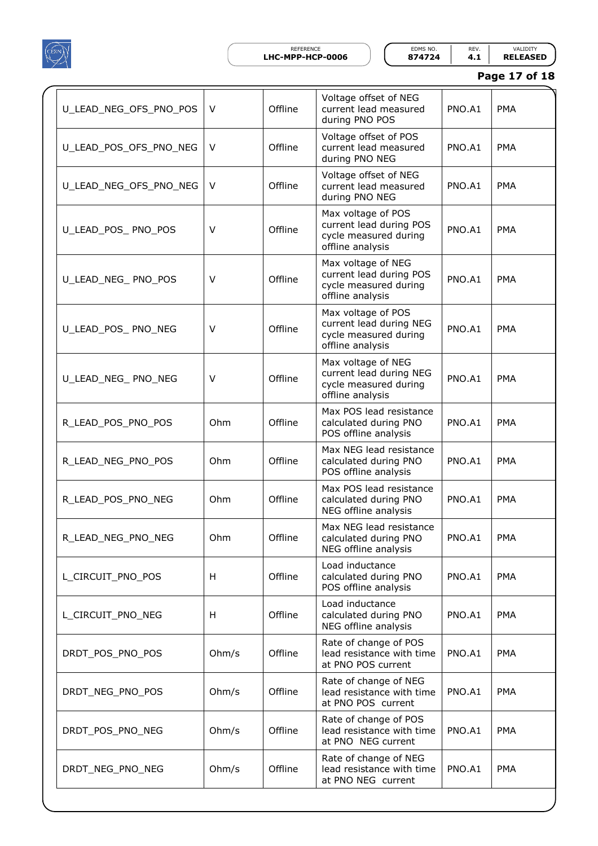

REFERENCE EDMS NO. REV. VALIDITY **LHC-MPP-HCP-0006 874724 4.1 RELEASED**

| Page 17 of 18 |  |  |
|---------------|--|--|
|---------------|--|--|

| U_LEAD_NEG_OFS_PNO_POS | V      | Offline | Voltage offset of NEG<br>current lead measured<br>during PNO POS                           | PNO.A1 | <b>PMA</b> |
|------------------------|--------|---------|--------------------------------------------------------------------------------------------|--------|------------|
| U_LEAD_POS_OFS_PNO_NEG | V      | Offline | Voltage offset of POS<br>current lead measured<br>during PNO NEG                           | PNO.A1 | <b>PMA</b> |
| U_LEAD_NEG_OFS_PNO_NEG | V      | Offline | Voltage offset of NEG<br>current lead measured<br>during PNO NEG                           | PNO.A1 | <b>PMA</b> |
| U_LEAD_POS_ PNO_POS    | V      | Offline | Max voltage of POS<br>current lead during POS<br>cycle measured during<br>offline analysis | PNO.A1 | <b>PMA</b> |
| U_LEAD_NEG_ PNO_POS    | V      | Offline | Max voltage of NEG<br>current lead during POS<br>cycle measured during<br>offline analysis | PNO.A1 | <b>PMA</b> |
| U_LEAD_POS_ PNO_NEG    | V      | Offline | Max voltage of POS<br>current lead during NEG<br>cycle measured during<br>offline analysis | PNO.A1 | <b>PMA</b> |
| U_LEAD_NEG_ PNO_NEG    | $\vee$ | Offline | Max voltage of NEG<br>current lead during NEG<br>cycle measured during<br>offline analysis | PNO.A1 | <b>PMA</b> |
| R_LEAD_POS_PNO_POS     | Ohm    | Offline | Max POS lead resistance<br>calculated during PNO<br>POS offline analysis                   | PNO.A1 | <b>PMA</b> |
| R_LEAD_NEG_PNO_POS     | Ohm    | Offline | Max NEG lead resistance<br>calculated during PNO<br>POS offline analysis                   | PNO.A1 | <b>PMA</b> |
| R_LEAD_POS_PNO_NEG     | Ohm    | Offline | Max POS lead resistance<br>calculated during PNO<br>NEG offline analysis                   | PNO.A1 | <b>PMA</b> |
| R_LEAD_NEG_PNO_NEG     | Ohm    | Offline | Max NEG lead resistance<br>calculated during PNO<br>NEG offline analysis                   | PNO.A1 | PMA        |
| L CIRCUIT PNO POS      | H      | Offline | Load inductance<br>calculated during PNO<br>POS offline analysis                           | PNO.A1 | <b>PMA</b> |
| L_CIRCUIT_PNO_NEG      | H      | Offline | Load inductance<br>calculated during PNO<br>NEG offline analysis                           | PNO.A1 | <b>PMA</b> |
| DRDT_POS_PNO_POS       | Ohm/s  | Offline | Rate of change of POS<br>lead resistance with time<br>at PNO POS current                   | PNO.A1 | <b>PMA</b> |
| DRDT_NEG_PNO_POS       | Ohm/s  | Offline | Rate of change of NEG<br>lead resistance with time<br>at PNO POS current                   | PNO.A1 | <b>PMA</b> |
| DRDT_POS_PNO_NEG       | Ohm/s  | Offline | Rate of change of POS<br>lead resistance with time<br>at PNO NEG current                   | PNO.A1 | <b>PMA</b> |
| DRDT_NEG_PNO_NEG       | Ohm/s  | Offline | Rate of change of NEG<br>lead resistance with time<br>at PNO NEG current                   | PNO.A1 | <b>PMA</b> |